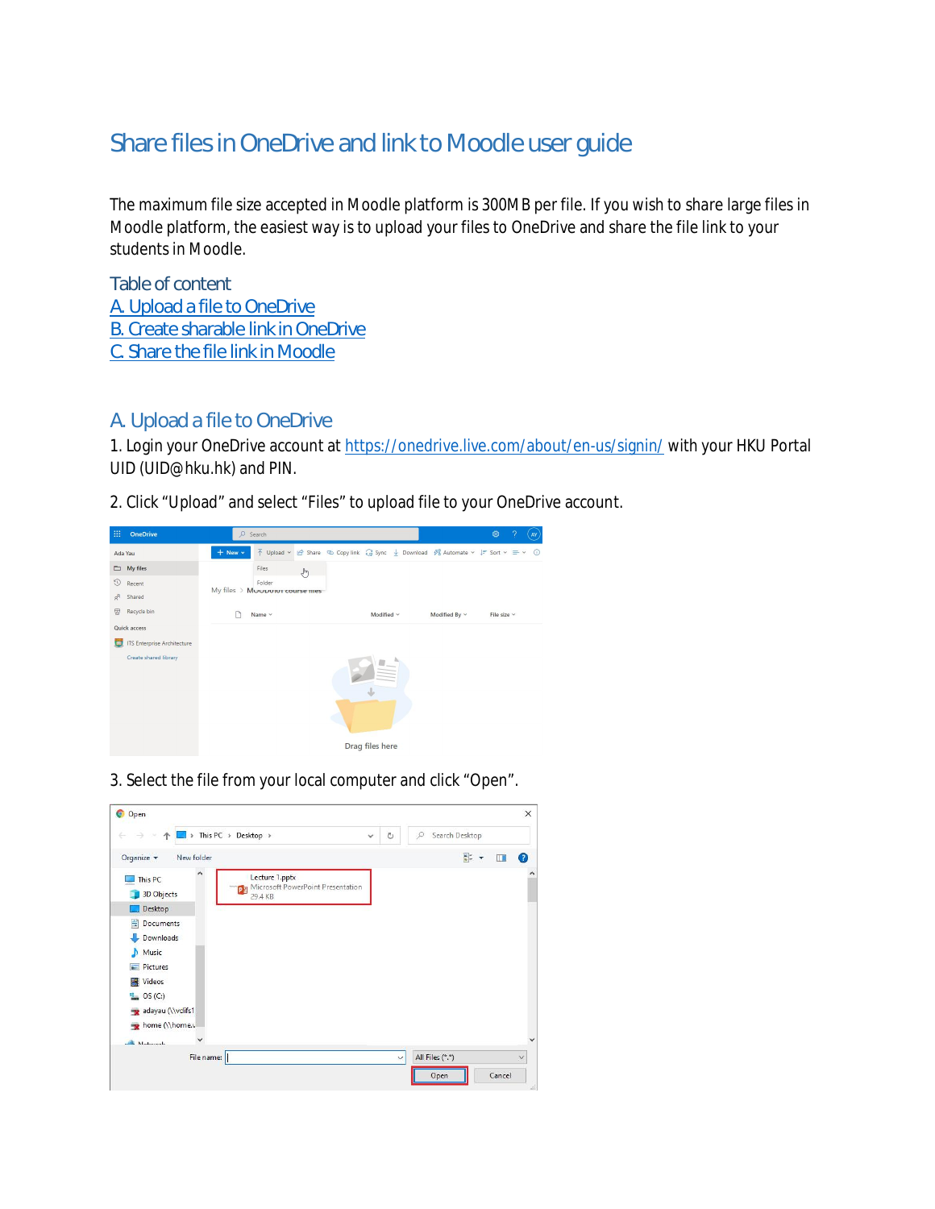# Share files in OneDrive and link to Moodle user guide

The maximum file size accepted in Moodle platform is 300MB per file. If you wish to share large files in Moodle platform, the easiest way is to upload your files to OneDrive and share the file link to your students in Moodle.

Table of content [A. Upload a file to OneDrive](#page-0-0) [B. Create sharable link in OneDrive](#page-1-0) [C. Share the file link in Moodle](#page-3-0)

## <span id="page-0-0"></span>A. Upload a file to OneDrive

1. Login your OneDrive account at <https://onedrive.live.com/about/en-us/signin/> with your HKU Portal UID (UID@hku.hk) and PIN.

2. Click "Upload" and select "Files" to upload file to your OneDrive account.



3. Select the file from your local computer and click "Open".

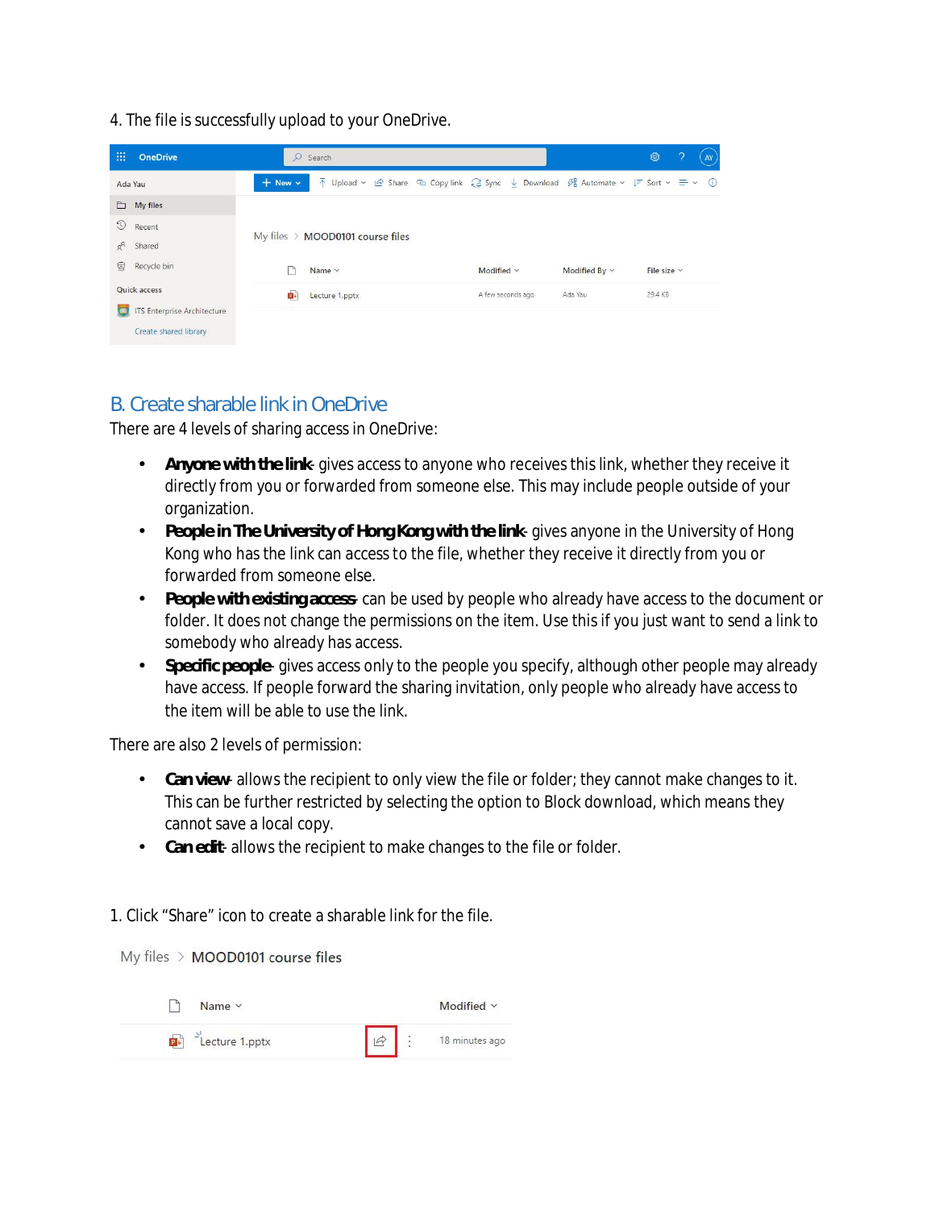4. The file is successfully upload to your OneDrive.

| 膃<br><b>OneDrive</b>                                 | $\circ$<br>Search                              |                                                                                                                                                                                     |  |                   |               | <b>@</b>         | ാ<br>AY |
|------------------------------------------------------|------------------------------------------------|-------------------------------------------------------------------------------------------------------------------------------------------------------------------------------------|--|-------------------|---------------|------------------|---------|
| Ada Yau                                              | $+$ New $-$                                    | $\bar{\uparrow}$ Upload $\vee$ Le Share $\oslash$ Copylink $\hat{\downarrow}$ Sync $\perp$ Download $\beta$ Automate $\vee$ $\bar{\varepsilon}$ Sort $\vee \equiv \vee \circ \circ$ |  |                   |               |                  |         |
| $\Box$ My files                                      |                                                |                                                                                                                                                                                     |  |                   |               |                  |         |
| $\odot$<br>Recent                                    |                                                |                                                                                                                                                                                     |  |                   |               |                  |         |
| $R_{\alpha}$<br>Shared                               | $My$ files $\rightarrow$ MOOD0101 course files |                                                                                                                                                                                     |  |                   |               |                  |         |
| 闾<br>Recycle bin                                     | Name v                                         |                                                                                                                                                                                     |  | Modified v        | Modified By ~ | File size $\vee$ |         |
| Quick access                                         | p.                                             | Lecture 1.pptx                                                                                                                                                                      |  | A few seconds ago | Ada Yau       | 29.4 KB          |         |
| <b>ITS Enterprise Architecture</b><br>$\blacksquare$ |                                                |                                                                                                                                                                                     |  |                   |               |                  |         |
| Create shared library                                |                                                |                                                                                                                                                                                     |  |                   |               |                  |         |

## <span id="page-1-0"></span>B. Create sharable link in OneDrive

There are 4 levels of sharing access in OneDrive:

- **Anyone with the link** gives access to anyone who receives this link, whether they receive it directly from you or forwarded from someone else. This may include people outside of your organization.
- **People in The University of Hong Kong with the link** gives anyone in the University of Hong Kong who has the link can access to the file, whether they receive it directly from you or forwarded from someone else.
- **People with existing access** can be used by people who already have access to the document or с, folder. It does not change the permissions on the item. Use this if you just want to send a link to somebody who already has access.
- **Specific people** gives access only to the people you specify, although other people may already  $\mathcal{L}^{\pm}$ have access. If people forward the sharing invitation, only people who already have access to the item will be able to use the link.

There are also 2 levels of permission:

- $\mathbf{r}$ **Can view**- allows the recipient to only view the file or folder; they cannot make changes to it. This can be further restricted by selecting the option to Block download, which means they cannot save a local copy.
- **Can edit** allows the recipient to make changes to the file or folder.

1. Click "Share" icon to create a sharable link for the file.

My files > MOOD0101 course files

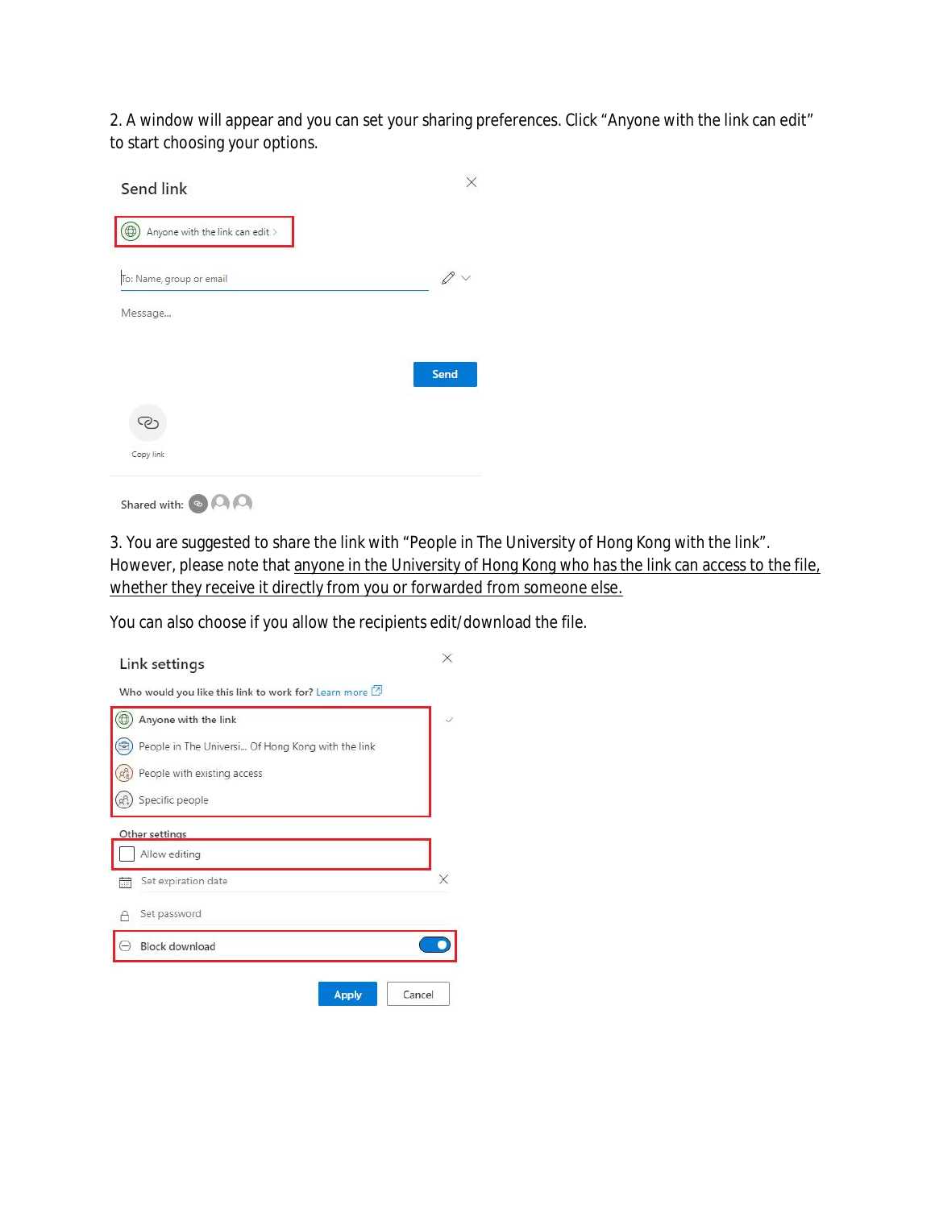2. A window will appear and you can set your sharing preferences. Click "Anyone with the link can edit" to start choosing your options.

| Send link                       |                              |
|---------------------------------|------------------------------|
| Anyone with the link can edit > |                              |
| To: Name, group or email        | $\mathcal{O} \smallsetminus$ |
| Message                         |                              |
|                                 |                              |
|                                 | Send                         |
| ි                               |                              |
| Copy link                       |                              |

Shared with:  $\bigcirc$   $\bigcirc$   $\bigcirc$ 

3. You are suggested to share the link with "People in The University of Hong Kong with the link". However, please note that anyone in the University of Hong Kong who has the link can access to the file, whether they receive it directly from you or forwarded from someone else.

You can also choose if you allow the recipients edit/download the file.

| Link settings                                               | X |
|-------------------------------------------------------------|---|
| Who would you like this link to work for? Learn more $\Box$ |   |
| Anyone with the link                                        |   |
| People in The Universi Of Hong Kong with the link           |   |
| People with existing access                                 |   |
| Specific people                                             |   |
| Other settings                                              |   |
| Allow editing                                               |   |
| Set expiration date                                         | × |
| Set password                                                |   |
| <b>Block download</b>                                       |   |
|                                                             |   |
| <b>Apply</b><br>Cancel                                      |   |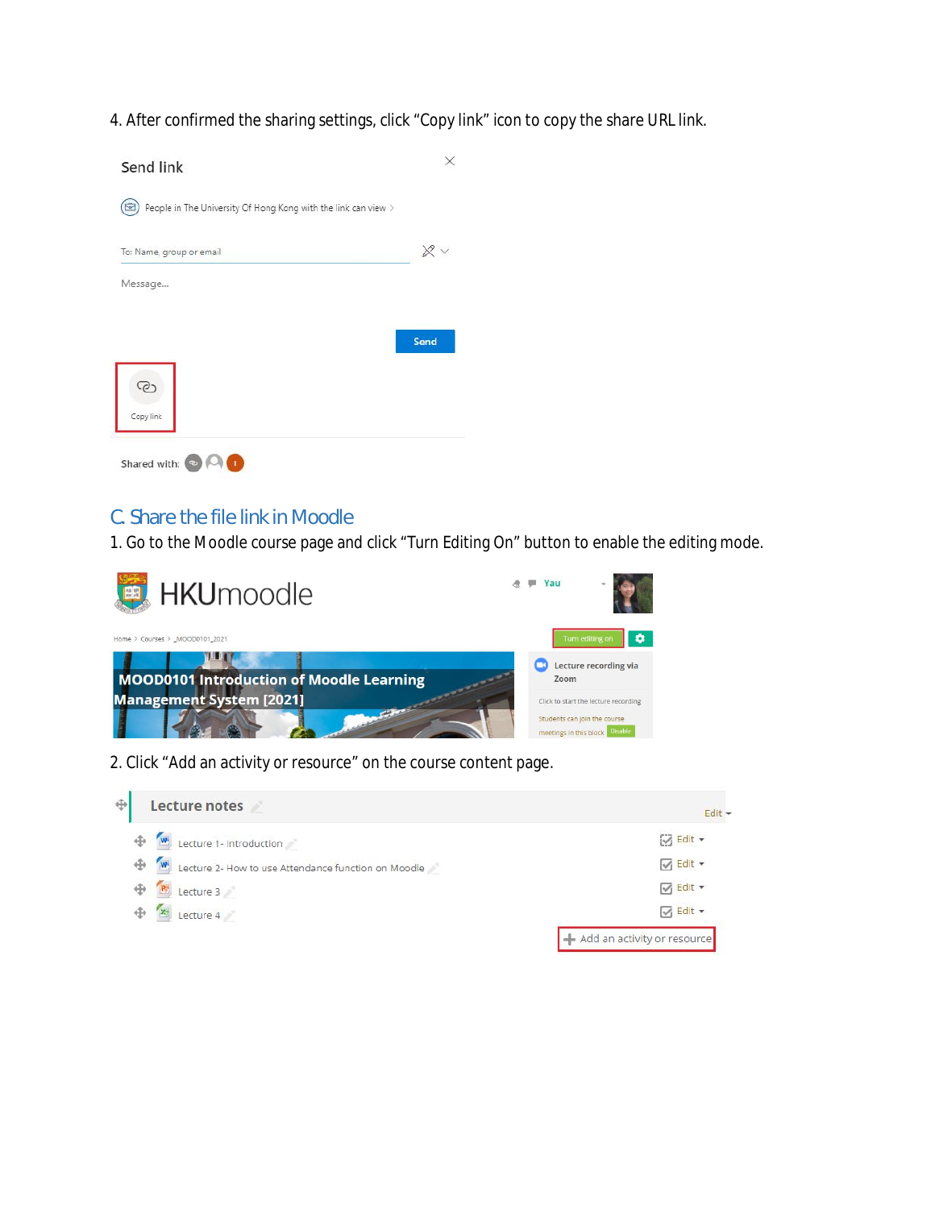4. After confirmed the sharing settings, click "Copy link" icon to copy the share URL link.



#### <span id="page-3-0"></span>C. Share the file link in Moodle

1. Go to the Moodle course page and click "Turn Editing On" button to enable the editing mode.



2. Click "Add an activity or resource" on the course content page.